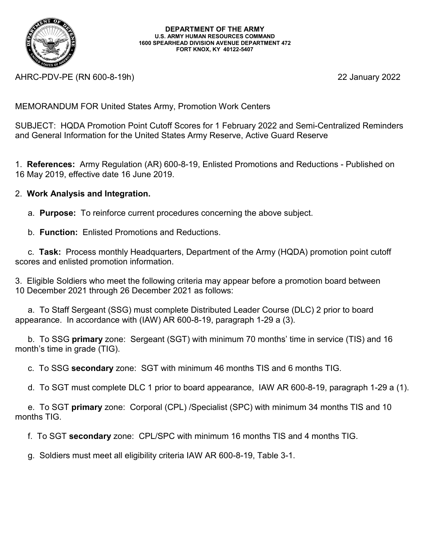

AHRC-PDV-PE (RN 600-8-19h) 22 January 2022

MEMORANDUM FOR United States Army, Promotion Work Centers

SUBJECT: HQDA Promotion Point Cutoff Scores for 1 February 2022 and Semi-Centralized Reminders and General Information for the United States Army Reserve, Active Guard Reserve

1. **References:** Army Regulation (AR) 600-8-19, Enlisted Promotions and Reductions - Published on 16 May 2019, effective date 16 June 2019.

## 2. **Work Analysis and Integration.**

a. **Purpose:** To reinforce current procedures concerning the above subject.

b. **Function:** Enlisted Promotions and Reductions.

c. **Task:** Process monthly Headquarters, Department of the Army (HQDA) promotion point cutoff scores and enlisted promotion information.

3. Eligible Soldiers who meet the following criteria may appear before a promotion board between 10 December 2021 through 26 December 2021 as follows:

a. To Staff Sergeant (SSG) must complete Distributed Leader Course (DLC) 2 prior to board appearance. In accordance with (IAW) AR 600-8-19, paragraph 1-29 a (3).

b. To SSG **primary** zone: Sergeant (SGT) with minimum 70 months' time in service (TIS) and 16 month's time in grade (TIG).

c. To SSG **secondary** zone: SGT with minimum 46 months TIS and 6 months TIG.

d. To SGT must complete DLC 1 prior to board appearance, IAW AR 600-8-19, paragraph 1-29 a (1).

e. To SGT **primary** zone: Corporal (CPL) /Specialist (SPC) with minimum 34 months TIS and 10 months TIG.

f. To SGT **secondary** zone: CPL/SPC with minimum 16 months TIS and 4 months TIG.

g. Soldiers must meet all eligibility criteria IAW AR 600-8-19, Table 3-1.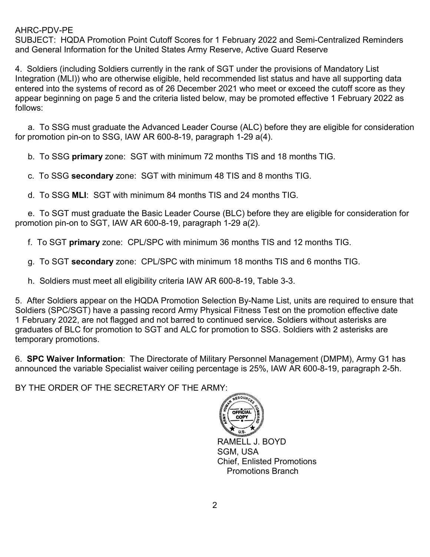SUBJECT: HQDA Promotion Point Cutoff Scores for 1 February 2022 and Semi-Centralized Reminders and General Information for the United States Army Reserve, Active Guard Reserve

4. Soldiers (including Soldiers currently in the rank of SGT under the provisions of Mandatory List Integration (MLI)) who are otherwise eligible, held recommended list status and have all supporting data entered into the systems of record as of 26 December 2021 who meet or exceed the cutoff score as they appear beginning on page 5 and the criteria listed below, may be promoted effective 1 February 2022 as follows:

a. To SSG must graduate the Advanced Leader Course (ALC) before they are eligible for consideration for promotion pin-on to SSG, IAW AR 600-8-19, paragraph 1-29 a(4).

b. To SSG **primary** zone: SGT with minimum 72 months TIS and 18 months TIG.

c. To SSG **secondary** zone: SGT with minimum 48 TIS and 8 months TIG.

d. To SSG **MLI**: SGT with minimum 84 months TIS and 24 months TIG.

 e. To SGT must graduate the Basic Leader Course (BLC) before they are eligible for consideration for promotion pin-on to SGT, IAW AR 600-8-19, paragraph 1-29 a(2).

f. To SGT **primary** zone: CPL/SPC with minimum 36 months TIS and 12 months TIG.

g. To SGT **secondary** zone: CPL/SPC with minimum 18 months TIS and 6 months TIG.

h. Soldiers must meet all eligibility criteria IAW AR 600-8-19, Table 3-3.

5. After Soldiers appear on the HQDA Promotion Selection By-Name List, units are required to ensure that Soldiers (SPC/SGT) have a passing record Army Physical Fitness Test on the promotion effective date 1 February 2022, are not flagged and not barred to continued service. Soldiers without asterisks are graduates of BLC for promotion to SGT and ALC for promotion to SSG. Soldiers with 2 asterisks are temporary promotions.

6. **SPC Waiver Information**: The Directorate of Military Personnel Management (DMPM), Army G1 has announced the variable Specialist waiver ceiling percentage is 25%, IAW AR 600-8-19, paragraph 2-5h.

BY THE ORDER OF THE SECRETARY OF THE ARMY:



SGM, USA Chief, Enlisted Promotions Promotions Branch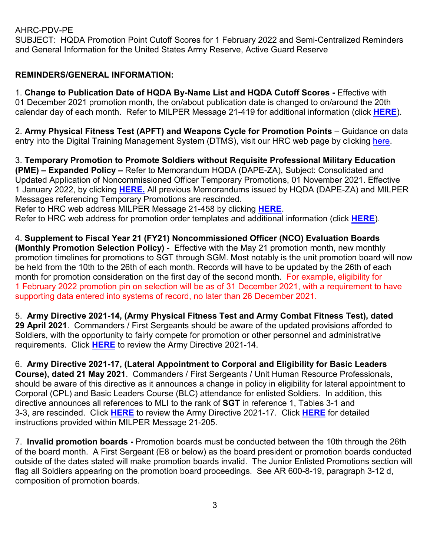SUBJECT: HQDA Promotion Point Cutoff Scores for 1 February 2022 and Semi-Centralized Reminders and General Information for the United States Army Reserve, Active Guard Reserve

## **REMINDERS/GENERAL INFORMATION:**

1. **Change to Publication Date of HQDA By-Name List and HQDA Cutoff Scores -** Effective with 01 December 2021 promotion month, the on/about publication date is changed to on/around the 20th calendar day of each month. Refer to MILPER Message 21-419 for additional information (click **[HERE](https://www.hrc.army.mil/Milper/21-419)**).

2. **Army Physical Fitness Test (APFT) and Weapons Cycle for Promotion Points** – Guidance on data entry into the Digital Training Management System (DTMS), visit our HRC web page by clicking [here.](https://www.hrc.army.mil/content/21065)

3. **Temporary Promotion to Promote Soldiers without Requisite Professional Military Education (PME) – Expanded Policy –** Refer to Memorandum HQDA (DAPE-ZA), Subject: Consolidated and Updated Application of Noncommissioned Officer Temporary Promotions, 01 November 2021. Effective 1 January 2022, by clicking **[HERE.](https://www.hrc.army.mil/asset/25482)** All previous Memorandums issued by HQDA (DAPE-ZA) and MILPER Messages referencing Temporary Promotions are rescinded.

Refer to HRC web address MILPER Message 21-458 by clicking **[HERE](https://www.hrc.army.mil/Milper/21-458)**.

Refer to HRC web address for promotion order templates and additional information (click **[HERE](https://www.hrc.army.mil/content/23358)**).

4. **Supplement to Fiscal Year 21 (FY21) Noncommissioned Officer (NCO) Evaluation Boards (Monthly Promotion Selection Policy)** - Effective with the May 21 promotion month, new monthly promotion timelines for promotions to SGT through SGM. Most notably is the unit promotion board will now be held from the 10th to the 26th of each month. Records will have to be updated by the 26th of each month for promotion consideration on the first day of the second month. For example, eligibility for 1 February 2022 promotion pin on selection will be as of 31 December 2021, with a requirement to have supporting data entered into systems of record, no later than 26 December 2021.

5. **Army Directive 2021-14, (Army Physical Fitness Test and Army Combat Fitness Test), dated 29 April 2021**. Commanders / First Sergeants should be aware of the updated provisions afforded to Soldiers, with the opportunity to fairly compete for promotion or other personnel and administrative requirements. Click **[HERE](https://armypubs.army.mil/epubs/DR_pubs/DR_a/ARN32370-ARMY_DIR_2021-14-000-WEB-1.pdf)** to review the Army Directive 2021-14.

6. **Army Directive 2021-17, (Lateral Appointment to Corporal and Eligibility for Basic Leaders Course), dated 21 May 2021**. Commanders / First Sergeants / Unit Human Resource Professionals, should be aware of this directive as it announces a change in policy in eligibility for lateral appointment to Corporal (CPL) and Basic Leaders Course (BLC) attendance for enlisted Soldiers. In addition, this directive announces all references to MLI to the rank of **SGT** in reference 1, Tables 3-1 and 3-3, are rescinded. Click **[HERE](https://armypubs.army.mil/epubs/DR_pubs/DR_a/ARN32643-ARMY_DIR_2021-17-000-WEB-1.pdf)** to review the Army Directive 2021-17. Click **[HERE](https://www.hrc.army.mil/Milper/21-205)** for detailed instructions provided within MILPER Message 21-205.

7. **Invalid promotion boards -** Promotion boards must be conducted between the 10th through the 26th of the board month. A First Sergeant (E8 or below) as the board president or promotion boards conducted outside of the dates stated will make promotion boards invalid. The Junior Enlisted Promotions section will flag all Soldiers appearing on the promotion board proceedings. See AR 600-8-19, paragraph 3-12 d, composition of promotion boards.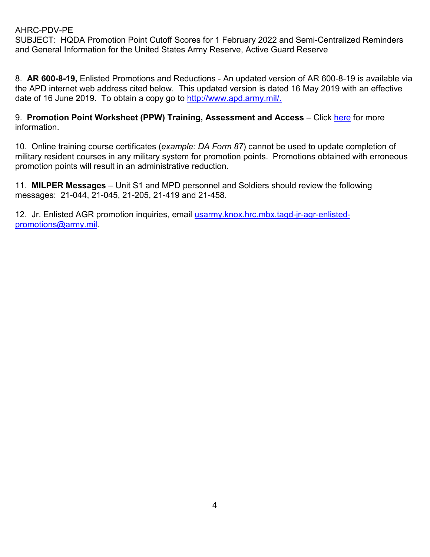SUBJECT: HQDA Promotion Point Cutoff Scores for 1 February 2022 and Semi-Centralized Reminders and General Information for the United States Army Reserve, Active Guard Reserve

8. **AR 600-8-19,** Enlisted Promotions and Reductions - An updated version of AR 600-8-19 is available via the APD internet web address cited below. This updated version is dated 16 May 2019 with an effective date of 16 June 2019. To obtain a copy go to [http://www.apd.army.mil/.](http://www.apd.army.mil/)

9. **Promotion Point Worksheet (PPW) Training, Assessment and Access** – Click [here](https://www.hrc.army.mil/content/Promotion%20Point%20Worksheet%20PPW%20Training%20Assessment%20and%20Access) for more information.

10. Online training course certificates (*example: DA Form 87*) cannot be used to update completion of military resident courses in any military system for promotion points. Promotions obtained with erroneous promotion points will result in an administrative reduction.

11. **MILPER Messages** – Unit S1 and MPD personnel and Soldiers should review the following messages: 21-044, 21-045, 21-205, 21-419 and 21-458.

12. Jr. Enlisted AGR promotion inquiries, email [usarmy.knox.hrc.mbx.tagd-jr-agr-enlisted](mailto:usarmy.knox.hrc.mbx.tagd-jr-agr-enlisted-promotions@army.mil)[promotions@army.mil.](mailto:usarmy.knox.hrc.mbx.tagd-jr-agr-enlisted-promotions@army.mil)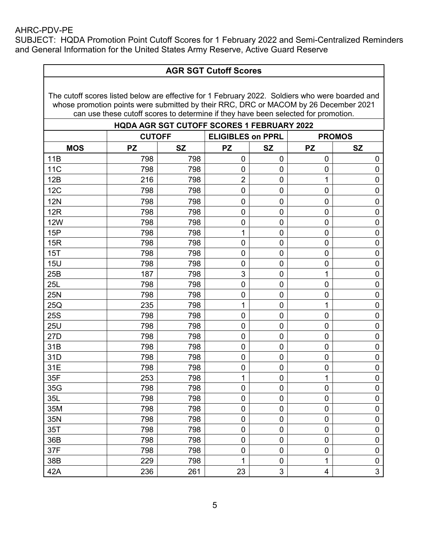SUBJECT: HQDA Promotion Point Cutoff Scores for 1 February 2022 and Semi-Centralized Reminders and General Information for the United States Army Reserve, Active Guard Reserve

| <b>AGR SGT Cutoff Scores</b>                                                                                                                                                                                                                                                  |               |                                                   |                          |                  |                         |                     |
|-------------------------------------------------------------------------------------------------------------------------------------------------------------------------------------------------------------------------------------------------------------------------------|---------------|---------------------------------------------------|--------------------------|------------------|-------------------------|---------------------|
| The cutoff scores listed below are effective for 1 February 2022. Soldiers who were boarded and<br>whose promotion points were submitted by their RRC, DRC or MACOM by 26 December 2021<br>can use these cutoff scores to determine if they have been selected for promotion. |               |                                                   |                          |                  |                         |                     |
|                                                                                                                                                                                                                                                                               |               | <b>HQDA AGR SGT CUTOFF SCORES 1 FEBRUARY 2022</b> |                          |                  |                         |                     |
|                                                                                                                                                                                                                                                                               | <b>CUTOFF</b> |                                                   | <b>ELIGIBLES on PPRL</b> |                  |                         | <b>PROMOS</b>       |
| <b>MOS</b>                                                                                                                                                                                                                                                                    | <b>PZ</b>     | <b>SZ</b>                                         | <b>PZ</b>                | <b>SZ</b>        | <b>PZ</b>               | <b>SZ</b>           |
| 11B                                                                                                                                                                                                                                                                           | 798           | 798                                               | $\mathbf 0$              | 0                | $\mathbf 0$             | 0                   |
| 11 <sub>C</sub>                                                                                                                                                                                                                                                               | 798           | 798                                               | $\mathbf 0$              | 0                | 0                       | 0                   |
| 12B                                                                                                                                                                                                                                                                           | 216           | 798                                               | $\overline{2}$           | $\boldsymbol{0}$ | 1                       | 0                   |
| 12C                                                                                                                                                                                                                                                                           | 798           | 798                                               | $\mathbf 0$              | 0                | 0                       | $\mathbf 0$         |
| <b>12N</b>                                                                                                                                                                                                                                                                    | 798           | 798                                               | 0                        | 0                | 0                       | $\mathbf 0$         |
| 12R                                                                                                                                                                                                                                                                           | 798           | 798                                               | $\mathbf 0$              | 0                | $\mathbf 0$             | $\mathbf 0$         |
| <b>12W</b>                                                                                                                                                                                                                                                                    | 798           | 798                                               | $\mathbf 0$              | $\boldsymbol{0}$ | $\mathbf 0$             | $\mathbf 0$         |
| 15P                                                                                                                                                                                                                                                                           | 798           | 798                                               | 1                        | 0                | $\mathbf 0$             | $\mathbf 0$         |
| 15R                                                                                                                                                                                                                                                                           | 798           | 798                                               | $\mathbf 0$              | 0                | $\mathbf 0$             | 0                   |
| 15T                                                                                                                                                                                                                                                                           | 798           | 798                                               | $\mathbf 0$              | 0                | $\mathbf 0$             | $\mathbf 0$         |
| <b>15U</b>                                                                                                                                                                                                                                                                    | 798           | 798                                               | $\mathbf 0$              | 0                | $\mathbf 0$             | $\mathbf 0$         |
| 25B                                                                                                                                                                                                                                                                           | 187           | 798                                               | 3                        | $\boldsymbol{0}$ | 1                       | $\mathbf 0$         |
| 25L                                                                                                                                                                                                                                                                           | 798           | 798                                               | $\overline{0}$           | 0                | 0                       | $\mathbf 0$         |
| 25N                                                                                                                                                                                                                                                                           | 798           | 798                                               | $\mathbf 0$              | 0                | 0                       | $\mathbf 0$         |
| 25Q                                                                                                                                                                                                                                                                           | 235           | 798                                               | 1                        | 0                | 1                       | $\mathbf 0$         |
| <b>25S</b>                                                                                                                                                                                                                                                                    | 798           | 798                                               | $\mathbf 0$              | $\boldsymbol{0}$ | 0                       | $\mathbf 0$         |
| <b>25U</b>                                                                                                                                                                                                                                                                    | 798           | 798                                               | 0                        | 0                | 0                       | $\mathbf 0$         |
| 27D                                                                                                                                                                                                                                                                           | 798           | 798                                               | $\overline{0}$           | 0                | $\mathbf 0$             | $\mathbf 0$         |
| 31B                                                                                                                                                                                                                                                                           | 798           | 798                                               | $\mathbf 0$              | 0                | $\mathbf 0$             | $\mathbf 0$         |
| 31D                                                                                                                                                                                                                                                                           | 798           | 798                                               | $\mathbf 0$              | 0                | $\mathbf 0$             | $\mathbf 0$         |
| 31E                                                                                                                                                                                                                                                                           | 798           | 798                                               | $\boldsymbol{0}$         | $\boldsymbol{0}$ | $\mathbf 0$             | $\pmb{0}$           |
| 35F                                                                                                                                                                                                                                                                           | 253           | 798                                               | 1                        | $\pmb{0}$        | 1                       | $\pmb{0}$           |
| 35G                                                                                                                                                                                                                                                                           | 798           | 798                                               | $\pmb{0}$                | $\boldsymbol{0}$ | $\pmb{0}$               | $\mathbf 0$         |
| 35L                                                                                                                                                                                                                                                                           | 798           | 798                                               | $\pmb{0}$                | $\boldsymbol{0}$ | $\mathbf 0$             | $\pmb{0}$           |
| 35M                                                                                                                                                                                                                                                                           | 798           | 798                                               | $\mathbf 0$              | $\boldsymbol{0}$ | 0                       | $\mathsf{O}\xspace$ |
| 35N                                                                                                                                                                                                                                                                           | 798           | 798                                               | $\mathbf 0$              | $\boldsymbol{0}$ | 0                       | $\mathbf 0$         |
| 35T                                                                                                                                                                                                                                                                           | 798           | 798                                               | $\boldsymbol{0}$         | $\pmb{0}$        | 0                       | $\mathbf 0$         |
| 36B                                                                                                                                                                                                                                                                           | 798           | 798                                               | $\pmb{0}$                | $\mathbf 0$      | 0                       | $\mathsf{O}\xspace$ |
| 37F                                                                                                                                                                                                                                                                           | 798           | 798                                               | $\boldsymbol{0}$         | $\boldsymbol{0}$ | $\pmb{0}$               | $\pmb{0}$           |
| 38B                                                                                                                                                                                                                                                                           | 229           | 798                                               | 1                        | 0                | 1                       | $\pmb{0}$           |
| 42A                                                                                                                                                                                                                                                                           | 236           | 261                                               | 23                       | 3                | $\overline{\mathbf{4}}$ | 3                   |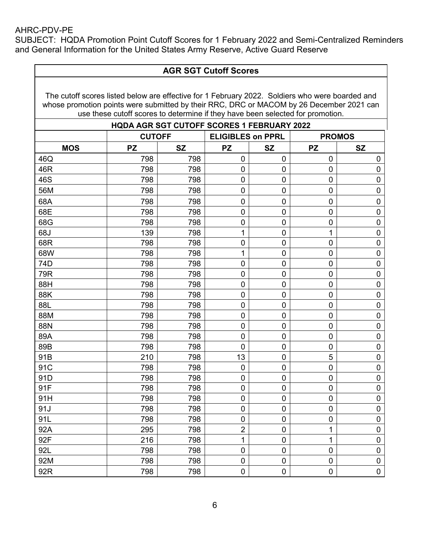SUBJECT: HQDA Promotion Point Cutoff Scores for 1 February 2022 and Semi-Centralized Reminders and General Information for the United States Army Reserve, Active Guard Reserve

|                                                                                                                                                                                                                                                                               | <b>AGR SGT Cutoff Scores</b>                      |           |                          |                |                |                  |
|-------------------------------------------------------------------------------------------------------------------------------------------------------------------------------------------------------------------------------------------------------------------------------|---------------------------------------------------|-----------|--------------------------|----------------|----------------|------------------|
| The cutoff scores listed below are effective for 1 February 2022. Soldiers who were boarded and<br>whose promotion points were submitted by their RRC, DRC or MACOM by 26 December 2021 can<br>use these cutoff scores to determine if they have been selected for promotion. |                                                   |           |                          |                |                |                  |
|                                                                                                                                                                                                                                                                               | <b>HQDA AGR SGT CUTOFF SCORES 1 FEBRUARY 2022</b> |           |                          |                |                |                  |
|                                                                                                                                                                                                                                                                               | <b>CUTOFF</b>                                     |           | <b>ELIGIBLES on PPRL</b> |                |                | <b>PROMOS</b>    |
| <b>MOS</b>                                                                                                                                                                                                                                                                    | <b>PZ</b>                                         | <b>SZ</b> | <b>PZ</b>                | <b>SZ</b>      | <b>PZ</b>      | <b>SZ</b>        |
| 46Q                                                                                                                                                                                                                                                                           | 798                                               | 798       | $\mathbf 0$              | $\overline{0}$ | $\mathbf 0$    | 0                |
| 46R                                                                                                                                                                                                                                                                           | 798                                               | 798       | 0                        | 0              | $\mathbf 0$    | $\mathbf 0$      |
| 46S                                                                                                                                                                                                                                                                           | 798                                               | 798       | $\pmb{0}$                | 0              | 0              | $\mathbf 0$      |
| 56M                                                                                                                                                                                                                                                                           | 798                                               | 798       | 0                        | 0              | $\mathbf 0$    | $\mathbf 0$      |
| 68A                                                                                                                                                                                                                                                                           | 798                                               | 798       | $\mathbf 0$              | 0              | 0              | 0                |
| 68E                                                                                                                                                                                                                                                                           | 798                                               | 798       | 0                        | 0              | $\mathbf 0$    | $\mathbf 0$      |
| 68G                                                                                                                                                                                                                                                                           | 798                                               | 798       | $\pmb{0}$                | 0              | 0              | $\mathbf 0$      |
| 68J                                                                                                                                                                                                                                                                           | 139                                               | 798       | 1                        | 0              | 1              | $\mathbf 0$      |
| 68R                                                                                                                                                                                                                                                                           | 798                                               | 798       | 0                        | 0              | 0              | $\mathbf 0$      |
| 68W                                                                                                                                                                                                                                                                           | 798                                               | 798       | 1                        | 0              | $\mathbf 0$    | $\boldsymbol{0}$ |
| 74D                                                                                                                                                                                                                                                                           | 798                                               | 798       | 0                        | 0              | 0              | $\mathbf 0$      |
| 79R                                                                                                                                                                                                                                                                           | 798                                               | 798       | $\mathbf 0$              | 0              | 0              | $\boldsymbol{0}$ |
| 88H                                                                                                                                                                                                                                                                           | 798                                               | 798       | 0                        | 0              | 0              | $\mathbf 0$      |
| 88K                                                                                                                                                                                                                                                                           | 798                                               | 798       | $\mathbf 0$              | 0              | 0              | $\boldsymbol{0}$ |
| 88L                                                                                                                                                                                                                                                                           | 798                                               | 798       | 0                        | 0              | 0              | $\boldsymbol{0}$ |
| 88M                                                                                                                                                                                                                                                                           | 798                                               | 798       | $\mathbf 0$              | 0              | 0              | $\mathbf 0$      |
| 88N                                                                                                                                                                                                                                                                           | 798                                               | 798       | $\mathbf 0$              | 0              | 0              | $\mathbf 0$      |
| 89A                                                                                                                                                                                                                                                                           | 798                                               | 798       | $\mathbf 0$              | 0              | 0              | $\mathbf 0$      |
| 89B                                                                                                                                                                                                                                                                           | 798                                               | 798       | 0                        | $\mathbf 0$    | $\mathbf 0$    | $\boldsymbol{0}$ |
| 91B                                                                                                                                                                                                                                                                           | 210                                               | 798       | 13                       | 0              | 5              | $\boldsymbol{0}$ |
| 91C                                                                                                                                                                                                                                                                           | 798                                               | 798       | 0                        | 0              | 0              | $\boldsymbol{0}$ |
| 91D                                                                                                                                                                                                                                                                           | 798                                               | 798       | 0                        | 0              | $\pmb{0}$      | 0                |
| 91F                                                                                                                                                                                                                                                                           | 798                                               | 798       | $\pmb{0}$                | $\mathbf 0$    | $\mathbf 0$    | $\pmb{0}$        |
| 91H                                                                                                                                                                                                                                                                           | 798                                               | 798       | $\mathbf 0$              | $\mathbf 0$    | $\mathbf 0$    | $\pmb{0}$        |
| 91J                                                                                                                                                                                                                                                                           | 798                                               | 798       | $\pmb{0}$                | 0              | 0              | $\boldsymbol{0}$ |
| 91L                                                                                                                                                                                                                                                                           | 798                                               | 798       | $\pmb{0}$                | 0              | $\overline{0}$ | $\mathsf 0$      |
| 92A                                                                                                                                                                                                                                                                           | 295                                               | 798       | $\mathbf 2$              | $\pmb{0}$      | 1              | $\pmb{0}$        |
| 92F                                                                                                                                                                                                                                                                           | 216                                               | 798       | 1                        | 0              | 1              | $\pmb{0}$        |
| 92L                                                                                                                                                                                                                                                                           | 798                                               | 798       | $\pmb{0}$                | 0              | $\pmb{0}$      | $\boldsymbol{0}$ |
| 92M                                                                                                                                                                                                                                                                           | 798                                               | 798       | $\pmb{0}$                | 0              | $\mathbf 0$    | $\pmb{0}$        |
| 92R                                                                                                                                                                                                                                                                           | 798                                               | 798       | $\mathbf 0$              | $\pmb{0}$      | $\pmb{0}$      | $\pmb{0}$        |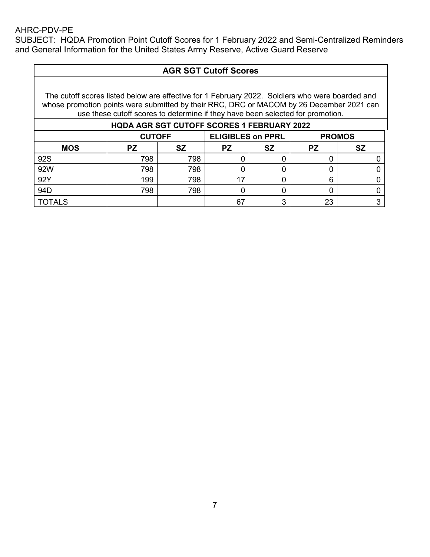SUBJECT: HQDA Promotion Point Cutoff Scores for 1 February 2022 and Semi-Centralized Reminders and General Information for the United States Army Reserve, Active Guard Reserve

# **AGR SGT Cutoff Scores**

| <b>HQDA AGR SGT CUTOFF SCORES 1 FEBRUARY 2022</b> |               |           |                          |           |    |               |
|---------------------------------------------------|---------------|-----------|--------------------------|-----------|----|---------------|
|                                                   | <b>CUTOFF</b> |           | <b>ELIGIBLES on PPRL</b> |           |    | <b>PROMOS</b> |
| <b>MOS</b>                                        | PZ            | <b>SZ</b> | <b>PZ</b>                | <b>SZ</b> |    |               |
| 92S                                               | 798           | 798       |                          |           |    |               |
| 92W                                               | 798           | 798       |                          |           |    |               |
| 92Y                                               | 199           | 798       | 17                       |           | հ  |               |
| 94 <sub>D</sub>                                   | 798           | 798       |                          |           |    |               |
| <b>TOTALS</b>                                     |               |           | 67                       | ◠         | 23 | ◠             |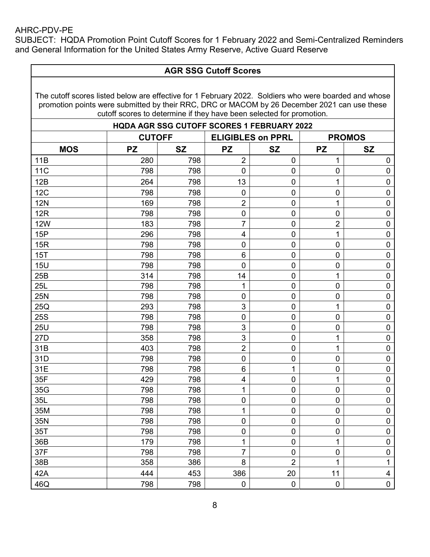SUBJECT: HQDA Promotion Point Cutoff Scores for 1 February 2022 and Semi-Centralized Reminders and General Information for the United States Army Reserve, Active Guard Reserve

## **AGR SSG Cutoff Scores**

| <b>HQDA AGR SSG CUTOFF SCORES 1 FEBRUARY 2022</b> |               |           |                         |                          |                     |                         |  |
|---------------------------------------------------|---------------|-----------|-------------------------|--------------------------|---------------------|-------------------------|--|
|                                                   | <b>CUTOFF</b> |           |                         | <b>ELIGIBLES on PPRL</b> |                     | <b>PROMOS</b>           |  |
| <b>MOS</b>                                        | <b>PZ</b>     | <b>SZ</b> | <b>PZ</b>               | <b>SZ</b>                | <b>PZ</b>           | <b>SZ</b>               |  |
| 11B                                               | 280           | 798       | $\overline{2}$          | $\pmb{0}$                | 1                   | 0                       |  |
| <b>11C</b>                                        | 798           | 798       | $\mathbf 0$             | $\pmb{0}$                | $\mathbf 0$         | $\mathbf 0$             |  |
| 12B                                               | 264           | 798       | 13                      | $\pmb{0}$                | 1                   | $\pmb{0}$               |  |
| 12C                                               | 798           | 798       | $\mathbf 0$             | $\mathbf 0$              | $\pmb{0}$           | $\pmb{0}$               |  |
| <b>12N</b>                                        | 169           | 798       | $\overline{2}$          | $\pmb{0}$                | 1                   | $\mathbf 0$             |  |
| 12R                                               | 798           | 798       | $\mathbf 0$             | $\pmb{0}$                | $\mathbf 0$         | $\pmb{0}$               |  |
| <b>12W</b>                                        | 183           | 798       | $\overline{7}$          | $\mathbf 0$              | $\overline{2}$      | $\pmb{0}$               |  |
| 15P                                               | 296           | 798       | $\overline{\mathbf{4}}$ | $\pmb{0}$                | $\overline{1}$      | $\pmb{0}$               |  |
| 15R                                               | 798           | 798       | $\mathbf 0$             | $\mathbf 0$              | $\mathbf 0$         | $\pmb{0}$               |  |
| 15T                                               | 798           | 798       | $6\phantom{1}$          | $\mathbf 0$              | $\mathbf 0$         | $\pmb{0}$               |  |
| <b>15U</b>                                        | 798           | 798       | $\mathbf 0$             | $\pmb{0}$                | $\pmb{0}$           | $\pmb{0}$               |  |
| 25B                                               | 314           | 798       | 14                      | $\pmb{0}$                | 1                   | $\pmb{0}$               |  |
| <b>25L</b>                                        | 798           | 798       | $\mathbf{1}$            | $\pmb{0}$                | $\pmb{0}$           | $\pmb{0}$               |  |
| <b>25N</b>                                        | 798           | 798       | $\mathbf 0$             | $\pmb{0}$                | $\overline{0}$      | $\pmb{0}$               |  |
| 25Q                                               | 293           | 798       | 3                       | $\pmb{0}$                | 1                   | 0                       |  |
| <b>25S</b>                                        | 798           | 798       | $\mathbf 0$             | $\pmb{0}$                | $\mathbf 0$         | $\mathbf 0$             |  |
| <b>25U</b>                                        | 798           | 798       | 3                       | $\mathsf{O}\xspace$      | $\mathsf{O}\xspace$ | $\pmb{0}$               |  |
| 27D                                               | 358           | 798       | 3                       | $\pmb{0}$                | 1                   | $\pmb{0}$               |  |
| 31B                                               | 403           | 798       | $\overline{2}$          | $\mathsf{O}\xspace$      | 1                   | $\pmb{0}$               |  |
| 31D                                               | 798           | 798       | $\mathbf 0$             | $\pmb{0}$                | $\pmb{0}$           | $\pmb{0}$               |  |
| 31E                                               | 798           | 798       | 6                       | 1                        | $\mathbf 0$         | $\pmb{0}$               |  |
| 35F                                               | 429           | 798       | 4                       | $\pmb{0}$                | 1                   | $\pmb{0}$               |  |
| 35G                                               | 798           | 798       | $\mathbf{1}$            | $\mathbf 0$              | $\overline{0}$      | $\mathbf 0$             |  |
| 35L                                               | 798           | 798       | $\mathbf 0$             | $\pmb{0}$                | $\pmb{0}$           | $\pmb{0}$               |  |
| 35M                                               | 798           | 798       | 1                       | $\pmb{0}$                | $\mathbf 0$         | $\pmb{0}$               |  |
| 35N                                               | 798           | 798       | $\mathbf 0$             | $\mathsf{O}\xspace$      | $\pmb{0}$           | $\pmb{0}$               |  |
| 35T                                               | 798           | 798       | $\mathbf 0$             | $\pmb{0}$                | $\mathbf 0$         | $\pmb{0}$               |  |
| 36B                                               | 179           | 798       | 1                       | $\mathsf{O}\xspace$      | 1                   | $\pmb{0}$               |  |
| 37F                                               | 798           | 798       | $\overline{7}$          | $\mathbf 0$              | 0                   | $\mathbf 0$             |  |
| 38B                                               | 358           | 386       | 8                       | $\overline{2}$           | 1                   | $\mathbf{1}$            |  |
| 42A                                               | 444           | 453       | 386                     | 20                       | 11                  | $\overline{\mathbf{4}}$ |  |
| 46Q                                               | 798           | 798       | $\mathbf 0$             | $\mathbf 0$              | $\mathbf 0$         | $\mathbf 0$             |  |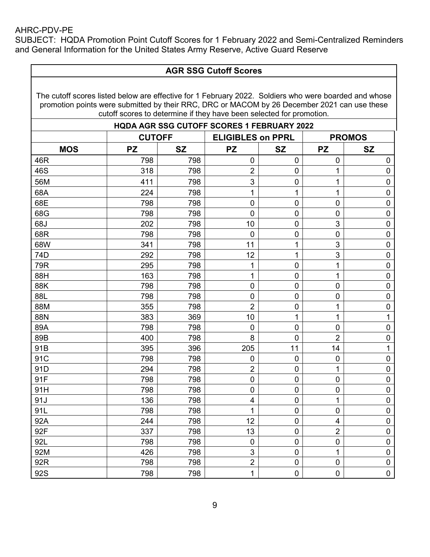SUBJECT: HQDA Promotion Point Cutoff Scores for 1 February 2022 and Semi-Centralized Reminders and General Information for the United States Army Reserve, Active Guard Reserve

## **AGR SSG Cutoff Scores**

| <b>HQDA AGR SSG CUTOFF SCORES 1 FEBRUARY 2022</b> |               |           |                          |                  |                |                  |  |
|---------------------------------------------------|---------------|-----------|--------------------------|------------------|----------------|------------------|--|
|                                                   | <b>CUTOFF</b> |           | <b>ELIGIBLES on PPRL</b> |                  |                | <b>PROMOS</b>    |  |
| <b>MOS</b>                                        | <b>PZ</b>     | <b>SZ</b> | <b>PZ</b>                | <b>SZ</b>        | <b>PZ</b>      | <b>SZ</b>        |  |
| 46R                                               | 798           | 798       | 0                        | $\overline{0}$   | 0              | 0                |  |
| 46S                                               | 318           | 798       | $\overline{2}$           | $\mathbf 0$      | 1              | $\pmb{0}$        |  |
| 56M                                               | 411           | 798       | 3                        | $\mathbf 0$      | 1              | $\mathbf 0$      |  |
| 68A                                               | 224           | 798       | 1                        | 1                | 1              | $\pmb{0}$        |  |
| 68E                                               | 798           | 798       | $\mathbf 0$              | 0                | $\mathbf 0$    | $\mathbf 0$      |  |
| 68G                                               | 798           | 798       | $\mathbf 0$              | $\mathbf 0$      | $\mathbf 0$    | $\pmb{0}$        |  |
| 68J                                               | 202           | 798       | 10                       | $\boldsymbol{0}$ | $\mathfrak{S}$ | $\pmb{0}$        |  |
| 68R                                               | 798           | 798       | $\mathbf 0$              | $\boldsymbol{0}$ | $\mathbf 0$    | $\pmb{0}$        |  |
| 68W                                               | 341           | 798       | 11                       | 1                | 3              | $\pmb{0}$        |  |
| 74D                                               | 292           | 798       | 12                       | 1                | 3              | $\mathbf 0$      |  |
| 79R                                               | 295           | 798       | 1                        | $\mathbf 0$      | 1              | $\pmb{0}$        |  |
| 88H                                               | 163           | 798       | 1                        | 0                | 1              | $\pmb{0}$        |  |
| 88K                                               | 798           | 798       | $\mathbf 0$              | $\mathbf 0$      | $\mathbf 0$    | $\mathbf 0$      |  |
| 88L                                               | 798           | 798       | $\pmb{0}$                | $\boldsymbol{0}$ | $\pmb{0}$      | $\pmb{0}$        |  |
| 88M                                               | 355           | 798       | $\overline{2}$           | $\mathbf 0$      | 1              | $\pmb{0}$        |  |
| 88N                                               | 383           | 369       | 10                       | $\mathbf{1}$     | 1              | $\mathbf{1}$     |  |
| 89A                                               | 798           | 798       | 0                        | $\pmb{0}$        | $\overline{0}$ | $\pmb{0}$        |  |
| 89B                                               | 400           | 798       | 8                        | 0                | $\overline{2}$ | $\boldsymbol{0}$ |  |
| 91B                                               | 395           | 396       | 205                      | 11               | 14             | $\mathbf{1}$     |  |
| 91C                                               | 798           | 798       | $\mathbf 0$              | $\mathbf 0$      | $\mathbf 0$    | $\mathbf 0$      |  |
| 91D                                               | 294           | 798       | $\overline{2}$           | $\mathbf 0$      | 1              | $\pmb{0}$        |  |
| 91F                                               | 798           | 798       | $\mathbf 0$              | $\mathbf 0$      | $\mathbf 0$    | $\pmb{0}$        |  |
| 91H                                               | 798           | 798       | $\mathbf 0$              | 0                | 0              | $\pmb{0}$        |  |
| 91J                                               | 136           | 798       | $\overline{\mathbf{4}}$  | $\boldsymbol{0}$ | 1              | $\pmb{0}$        |  |
| 91L                                               | 798           | 798       | $\mathbf 1$              | $\overline{0}$   | $\mathbf 0$    | $\pmb{0}$        |  |
| 92A                                               | 244           | 798       | 12                       | $\mathbf 0$      | 4              | $\pmb{0}$        |  |
| 92F                                               | 337           | 798       | 13                       | $\mathbf 0$      | $\overline{2}$ | $\pmb{0}$        |  |
| 92L                                               | 798           | 798       | $\mathbf 0$              | $\mathbf 0$      | $\mathbf 0$    | $\pmb{0}$        |  |
| 92M                                               | 426           | 798       | 3                        | $\mathbf 0$      | 1              | $\pmb{0}$        |  |
| 92R                                               | 798           | 798       | $\overline{2}$           | 0                | $\mathbf 0$    | $\pmb{0}$        |  |
| 92S                                               | 798           | 798       | 1                        | $\overline{0}$   | $\mathbf 0$    | $\mathbf 0$      |  |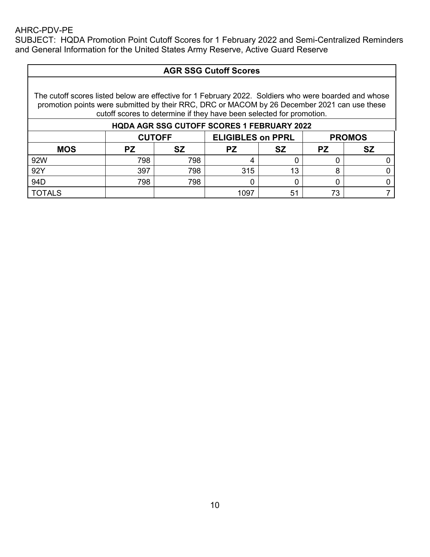SUBJECT: HQDA Promotion Point Cutoff Scores for 1 February 2022 and Semi-Centralized Reminders and General Information for the United States Army Reserve, Active Guard Reserve

# **AGR SSG Cutoff Scores**

| <b>HQDA AGR SSG CUTOFF SCORES 1 FEBRUARY 2022</b> |                                                            |     |           |           |    |  |
|---------------------------------------------------|------------------------------------------------------------|-----|-----------|-----------|----|--|
|                                                   | <b>ELIGIBLES on PPRL</b><br><b>CUTOFF</b><br><b>PROMOS</b> |     |           |           |    |  |
| <b>MOS</b>                                        | PZ                                                         | SZ  | <b>PZ</b> | <b>SZ</b> |    |  |
| 92W                                               | 798                                                        | 798 |           |           |    |  |
| 92Y                                               | 397                                                        | 798 | 315       | 13        |    |  |
| 94 <sub>D</sub>                                   | 798                                                        | 798 |           |           |    |  |
| <b>TOTALS</b>                                     |                                                            |     | 1097      | 51        | 73 |  |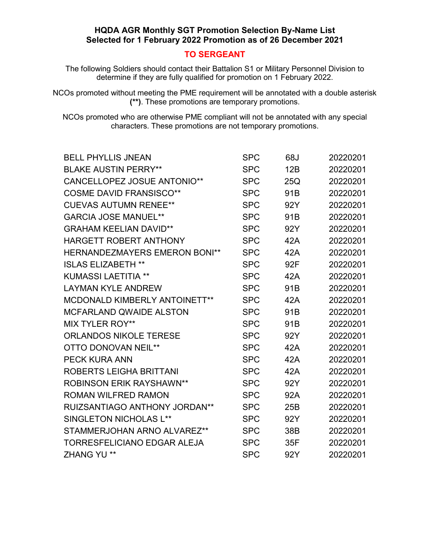### **TO SERGEANT**

The following Soldiers should contact their Battalion S1 or Military Personnel Division to determine if they are fully qualified for promotion on 1 February 2022.

NCOs promoted without meeting the PME requirement will be annotated with a double asterisk **(\*\*)**. These promotions are temporary promotions.

| <b>BELL PHYLLIS JNEAN</b>            | <b>SPC</b> | 68J             | 20220201 |
|--------------------------------------|------------|-----------------|----------|
| <b>BLAKE AUSTIN PERRY**</b>          | <b>SPC</b> | 12B             | 20220201 |
| <b>CANCELLOPEZ JOSUE ANTONIO**</b>   | <b>SPC</b> | 25Q             | 20220201 |
| <b>COSME DAVID FRANSISCO**</b>       | <b>SPC</b> | 91B             | 20220201 |
| <b>CUEVAS AUTUMN RENEE**</b>         | <b>SPC</b> | 92Y             | 20220201 |
| <b>GARCIA JOSE MANUEL**</b>          | <b>SPC</b> | 91 <sub>B</sub> | 20220201 |
| <b>GRAHAM KEELIAN DAVID**</b>        | <b>SPC</b> | 92Y             | 20220201 |
| HARGETT ROBERT ANTHONY               | <b>SPC</b> | 42A             | 20220201 |
| <b>HERNANDEZMAYERS EMERON BONI**</b> | <b>SPC</b> | 42A             | 20220201 |
| <b>ISLAS ELIZABETH **</b>            | <b>SPC</b> | 92F             | 20220201 |
| <b>KUMASSI LAETITIA **</b>           | <b>SPC</b> | 42A             | 20220201 |
| <b>LAYMAN KYLE ANDREW</b>            | <b>SPC</b> | 91 <sub>B</sub> | 20220201 |
| MCDONALD KIMBERLY ANTOINETT**        | <b>SPC</b> | 42A             | 20220201 |
| <b>MCFARLAND QWAIDE ALSTON</b>       | <b>SPC</b> | 91 <sub>B</sub> | 20220201 |
| <b>MIX TYLER ROY**</b>               | <b>SPC</b> | 91B             | 20220201 |
| <b>ORLANDOS NIKOLE TERESE</b>        | <b>SPC</b> | 92Y             | 20220201 |
| <b>OTTO DONOVAN NEIL**</b>           | <b>SPC</b> | 42A             | 20220201 |
| <b>PECK KURA ANN</b>                 | <b>SPC</b> | 42A             | 20220201 |
| ROBERTS LEIGHA BRITTANI              | <b>SPC</b> | 42A             | 20220201 |
| <b>ROBINSON ERIK RAYSHAWN**</b>      | <b>SPC</b> | 92Y             | 20220201 |
| <b>ROMAN WILFRED RAMON</b>           | <b>SPC</b> | 92A             | 20220201 |
| <b>RUIZSANTIAGO ANTHONY JORDAN**</b> | <b>SPC</b> | 25B             | 20220201 |
| SINGLETON NICHOLAS L**               | <b>SPC</b> | 92Y             | 20220201 |
| STAMMERJOHAN ARNO ALVAREZ**          | <b>SPC</b> | 38B             | 20220201 |
| <b>TORRESFELICIANO EDGAR ALEJA</b>   | <b>SPC</b> | 35F             | 20220201 |
| <b>ZHANG YU **</b>                   | <b>SPC</b> | 92Y             | 20220201 |
|                                      |            |                 |          |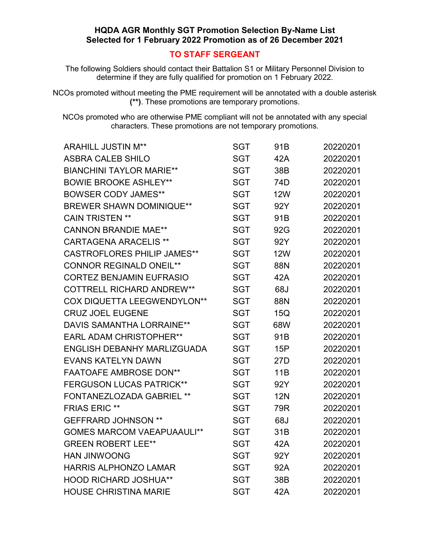### **TO STAFF SERGEANT**

The following Soldiers should contact their Battalion S1 or Military Personnel Division to determine if they are fully qualified for promotion on 1 February 2022.

NCOs promoted without meeting the PME requirement will be annotated with a double asterisk **(\*\*)**. These promotions are temporary promotions.

| <b>ARAHILL JUSTIN M**</b>          | SGT        | 91B             | 20220201 |
|------------------------------------|------------|-----------------|----------|
| <b>ASBRA CALEB SHILO</b>           | <b>SGT</b> | 42A             | 20220201 |
| <b>BIANCHINI TAYLOR MARIE**</b>    | <b>SGT</b> | 38B             | 20220201 |
| <b>BOWIE BROOKE ASHLEY**</b>       | <b>SGT</b> | 74D             | 20220201 |
| <b>BOWSER CODY JAMES**</b>         | <b>SGT</b> | <b>12W</b>      | 20220201 |
| <b>BREWER SHAWN DOMINIQUE**</b>    | <b>SGT</b> | 92Y             | 20220201 |
| <b>CAIN TRISTEN **</b>             | <b>SGT</b> | 91B             | 20220201 |
| <b>CANNON BRANDIE MAE**</b>        | <b>SGT</b> | 92G             | 20220201 |
| <b>CARTAGENA ARACELIS **</b>       | <b>SGT</b> | 92Y             | 20220201 |
| <b>CASTROFLORES PHILIP JAMES**</b> | <b>SGT</b> | <b>12W</b>      | 20220201 |
| <b>CONNOR REGINALD ONEIL**</b>     | <b>SGT</b> | 88N             | 20220201 |
| <b>CORTEZ BENJAMIN EUFRASIO</b>    | <b>SGT</b> | 42A             | 20220201 |
| <b>COTTRELL RICHARD ANDREW**</b>   | <b>SGT</b> | 68J             | 20220201 |
| COX DIQUETTA LEEGWENDYLON**        | <b>SGT</b> | 88N             | 20220201 |
| <b>CRUZ JOEL EUGENE</b>            | <b>SGT</b> | 15Q             | 20220201 |
| <b>DAVIS SAMANTHA LORRAINE**</b>   | <b>SGT</b> | 68W             | 20220201 |
| <b>EARL ADAM CHRISTOPHER**</b>     | <b>SGT</b> | 91B             | 20220201 |
| ENGLISH DEBANHY MARLIZGUADA        | <b>SGT</b> | 15P             | 20220201 |
| <b>EVANS KATELYN DAWN</b>          | <b>SGT</b> | 27 <sub>D</sub> | 20220201 |
| <b>FAATOAFE AMBROSE DON**</b>      | <b>SGT</b> | 11B             | 20220201 |
| <b>FERGUSON LUCAS PATRICK**</b>    | <b>SGT</b> | 92Y             | 20220201 |
| <b>FONTANEZLOZADA GABRIEL **</b>   | <b>SGT</b> | <b>12N</b>      | 20220201 |
| <b>FRIAS ERIC **</b>               | <b>SGT</b> | 79R             | 20220201 |
| <b>GEFFRARD JOHNSON **</b>         | <b>SGT</b> | 68J             | 20220201 |
| <b>GOMES MARCOM VAEAPUAAULI**</b>  | <b>SGT</b> | 31B             | 20220201 |
| <b>GREEN ROBERT LEE**</b>          | <b>SGT</b> | 42A             | 20220201 |
| <b>HAN JINWOONG</b>                | <b>SGT</b> | 92Y             | 20220201 |
| HARRIS ALPHONZO LAMAR              | <b>SGT</b> | 92A             | 20220201 |
| <b>HOOD RICHARD JOSHUA**</b>       | <b>SGT</b> | 38B             | 20220201 |
| <b>HOUSE CHRISTINA MARIE</b>       | <b>SGT</b> | 42A             | 20220201 |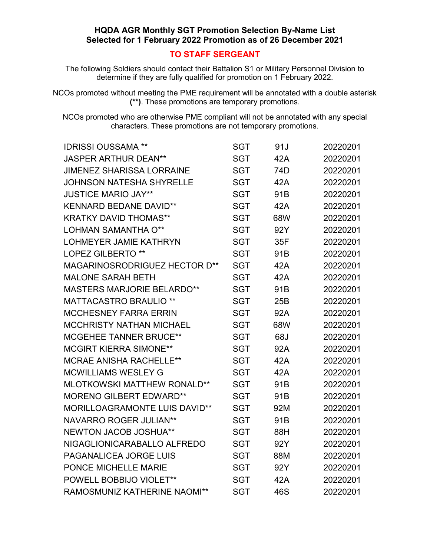### **TO STAFF SERGEANT**

The following Soldiers should contact their Battalion S1 or Military Personnel Division to determine if they are fully qualified for promotion on 1 February 2022.

NCOs promoted without meeting the PME requirement will be annotated with a double asterisk **(\*\*)**. These promotions are temporary promotions.

| <b>IDRISSI OUSSAMA **</b>            | <b>SGT</b> | 91J             | 20220201 |
|--------------------------------------|------------|-----------------|----------|
| <b>JASPER ARTHUR DEAN**</b>          | <b>SGT</b> | 42A             | 20220201 |
| <b>JIMENEZ SHARISSA LORRAINE</b>     | <b>SGT</b> | 74D             | 20220201 |
| <b>JOHNSON NATESHA SHYRELLE</b>      | <b>SGT</b> | 42A             | 20220201 |
| <b>JUSTICE MARIO JAY**</b>           | <b>SGT</b> | 91 <sub>B</sub> | 20220201 |
| <b>KENNARD BEDANE DAVID**</b>        | <b>SGT</b> | 42A             | 20220201 |
| <b>KRATKY DAVID THOMAS**</b>         | <b>SGT</b> | 68W             | 20220201 |
| LOHMAN SAMANTHA O**                  | <b>SGT</b> | 92Y             | 20220201 |
| <b>LOHMEYER JAMIE KATHRYN</b>        | <b>SGT</b> | 35F             | 20220201 |
| <b>LOPEZ GILBERTO **</b>             | <b>SGT</b> | 91B             | 20220201 |
| MAGARINOSRODRIGUEZ HECTOR D**        | <b>SGT</b> | 42A             | 20220201 |
| <b>MALONE SARAH BETH</b>             | <b>SGT</b> | 42A             | 20220201 |
| <b>MASTERS MARJORIE BELARDO**</b>    | <b>SGT</b> | 91B             | 20220201 |
| <b>MATTACASTRO BRAULIO **</b>        | <b>SGT</b> | 25B             | 20220201 |
| <b>MCCHESNEY FARRA ERRIN</b>         | <b>SGT</b> | 92A             | 20220201 |
| <b>MCCHRISTY NATHAN MICHAEL</b>      | <b>SGT</b> | 68W             | 20220201 |
| <b>MCGEHEE TANNER BRUCE**</b>        | <b>SGT</b> | 68J             | 20220201 |
| <b>MCGIRT KIERRA SIMONE**</b>        | <b>SGT</b> | 92A             | 20220201 |
| <b>MCRAE ANISHA RACHELLE**</b>       | <b>SGT</b> | 42A             | 20220201 |
| <b>MCWILLIAMS WESLEY G</b>           | <b>SGT</b> | 42A             | 20220201 |
| <b>MLOTKOWSKI MATTHEW RONALD**</b>   | <b>SGT</b> | 91 <sub>B</sub> | 20220201 |
| <b>MORENO GILBERT EDWARD**</b>       | <b>SGT</b> | 91B             | 20220201 |
| <b>MORILLOAGRAMONTE LUIS DAVID**</b> | <b>SGT</b> | 92M             | 20220201 |
| <b>NAVARRO ROGER JULIAN**</b>        | <b>SGT</b> | 91B             | 20220201 |
| <b>NEWTON JACOB JOSHUA**</b>         | <b>SGT</b> | 88H             | 20220201 |
| NIGAGLIONICARABALLO ALFREDO          | <b>SGT</b> | 92Y             | 20220201 |
| PAGANALICEA JORGE LUIS               | <b>SGT</b> | 88M             | 20220201 |
| PONCE MICHELLE MARIE                 | <b>SGT</b> | 92Y             | 20220201 |
| POWELL BOBBIJO VIOLET**              | <b>SGT</b> | 42A             | 20220201 |
| RAMOSMUNIZ KATHERINE NAOMI**         | <b>SGT</b> | 46S             | 20220201 |